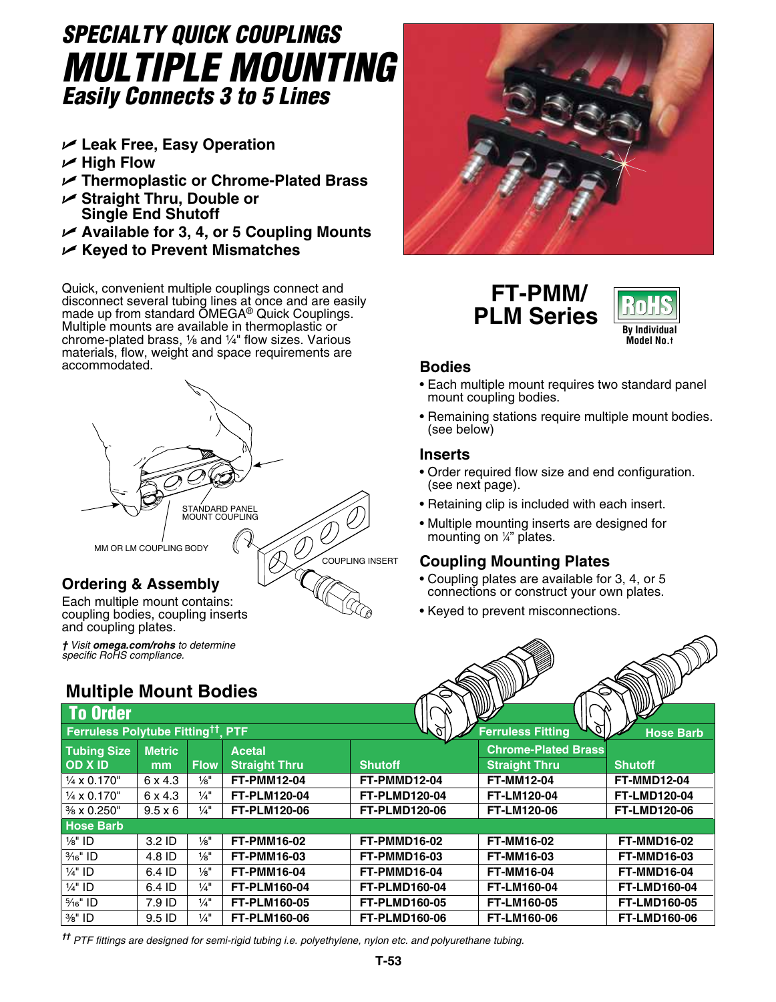# *SPECIALTY QUICK COUPLINGS Multiple Mounting Easily Connects 3 to 5 Lines*

- U **Leak Free, Easy Operation**
- U **High Flow**
- U **Thermoplastic or Chrome-Plated Brass**
- U **Straight Thru, Double or Single End Shutoff**
- U **Available for 3, 4, or 5 Coupling Mounts**
- U **Keyed to Prevent Mismatches**

Quick, convenient multiple couplings connect and disconnect several tubing lines at once and are easily made up from standard OMEGA® Quick Couplings. Multiple mounts are available in thermoplastic or chrome-plated brass,  $\frac{1}{2}$  and  $\frac{1}{4}$ " flow sizes. Various materials, flow, weight and space requirements are accommodated.



# **Ordering & Assembly**

Each multiple mount contains: coupling bodies, coupling inserts and coupling plates.



 **FT-PMM/ PLM Series**



## **Bodies**

- Each multiple mount requires two standard panel mount coupling bodies.
- Remaining stations require multiple mount bodies. (see below)

#### **Inserts**

- Order required flow size and end configuration. (see next page).
- Retaining clip is included with each insert.
- Multiple mounting inserts are designed for mounting on <sup>1</sup> ⁄4" plates.

## **Coupling Mounting Plates**

- Coupling plates are available for 3, 4, or 5 connections or construct your own plates.
- Keyed to prevent misconnections.

| † Visit omega.com/rohs to determine<br>specific RoHS compliance. |                |                 |                      |                      |                            |                     |
|------------------------------------------------------------------|----------------|-----------------|----------------------|----------------------|----------------------------|---------------------|
| <b>Multiple Mount Bodies</b>                                     |                |                 |                      |                      |                            |                     |
| <b>To Order</b>                                                  |                |                 |                      |                      |                            |                     |
| Ferruless Polytube Fitting <sup>tt</sup>                         |                |                 | <b>PTF</b>           |                      | <b>Ferruless Fitting</b>   | <b>Hose Barb</b>    |
| <b>Tubing Size</b>                                               | <b>Metric</b>  |                 | <b>Acetal</b>        |                      | <b>Chrome-Plated Brass</b> |                     |
| OD X ID                                                          | mm             | <b>Flow</b>     | <b>Straight Thru</b> | <b>Shutoff</b>       | <b>Straight Thru</b>       | <b>Shutoff</b>      |
| $\frac{1}{4}$ x 0.170"                                           | 6 x 4.3        | $\frac{1}{8}$ " | <b>FT-PMM12-04</b>   | FT-PMMD12-04         | <b>FT-MM12-04</b>          | <b>FT-MMD12-04</b>  |
| $\frac{1}{4}$ x 0.170"                                           | 6 x 4.3        | $\frac{1}{4}$ " | <b>FT-PLM120-04</b>  | <b>FT-PLMD120-04</b> | <b>FT-LM120-04</b>         | <b>FT-LMD120-04</b> |
| $\frac{3}{8}$ x 0.250"                                           | $9.5 \times 6$ | $\frac{1}{4}$ " | <b>FT-PLM120-06</b>  | <b>FT-PLMD120-06</b> | <b>FT-LM120-06</b>         | <b>FT-LMD120-06</b> |
| <b>Hose Barb</b>                                                 |                |                 |                      |                      |                            |                     |
| $\frac{1}{8}$ " ID                                               | $3.2$ ID       | $\frac{1}{8}$   | <b>FT-PMM16-02</b>   | FT-PMMD16-02         | <b>FT-MM16-02</b>          | <b>FT-MMD16-02</b>  |
| $\frac{3}{16}$ " ID                                              | 4.8 ID         | $\frac{1}{8}$ " | <b>FT-PMM16-03</b>   | FT-PMMD16-03         | <b>FT-MM16-03</b>          | <b>FT-MMD16-03</b>  |
| $\frac{1}{4}$ " ID                                               | 6.4 ID         | $\frac{1}{8}$ " | <b>FT-PMM16-04</b>   | FT-PMMD16-04         | <b>FT-MM16-04</b>          | <b>FT-MMD16-04</b>  |
| $\frac{1}{4}$ " ID                                               | 6.4 ID         | $\frac{1}{4}$   | <b>FT-PLM160-04</b>  | <b>FT-PLMD160-04</b> | FT-LM160-04                | <b>FT-LMD160-04</b> |
| $\frac{5}{16}$ " ID                                              | 7.9 ID         | $\frac{1}{4}$   | <b>FT-PLM160-05</b>  | <b>FT-PLMD160-05</b> | <b>FT-LM160-05</b>         | <b>FT-LMD160-05</b> |
| 3/ <sub>8</sub> " ID                                             | 9.5 ID         | $\frac{1}{4}$   | <b>FT-PLM160-06</b>  | <b>FT-PLMD160-06</b> | <b>FT-LM160-06</b>         | <b>FT-LMD160-06</b> |

*†† PTF fittings are designed for semi-rigid tubing i.e. polyethylene, nylon etc. and polyurethane tubing.*